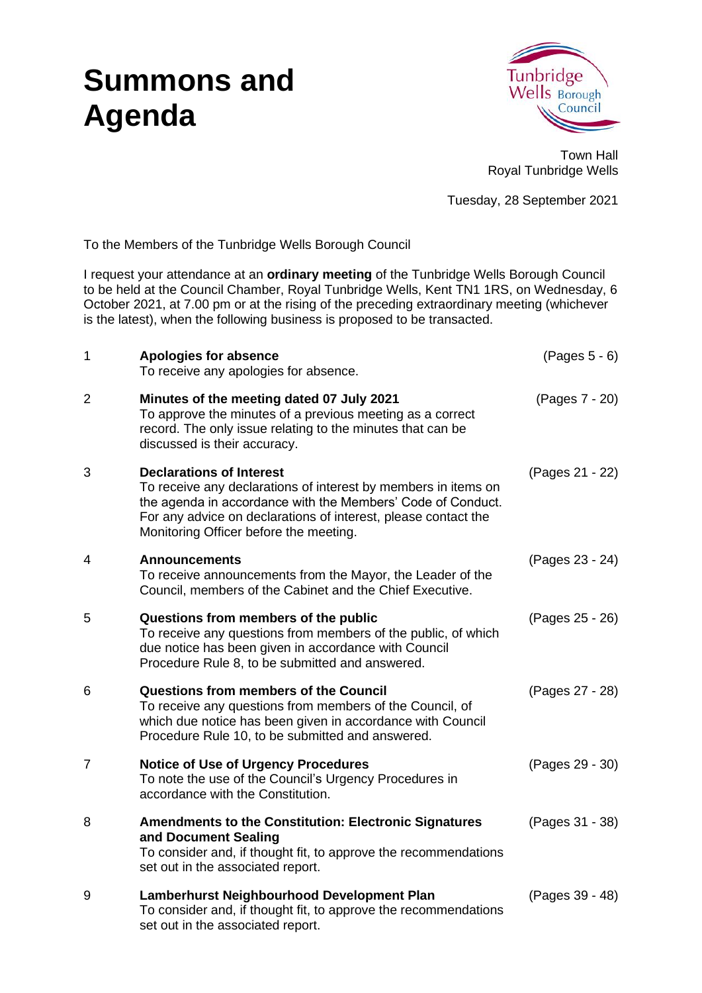## **Summons and Agenda**



Town Hall Royal Tunbridge Wells

Tuesday, 28 September 2021

To the Members of the Tunbridge Wells Borough Council

I request your attendance at an **ordinary meeting** of the Tunbridge Wells Borough Council to be held at the Council Chamber, Royal Tunbridge Wells, Kent TN1 1RS, on Wednesday, 6 October 2021, at 7.00 pm or at the rising of the preceding extraordinary meeting (whichever is the latest), when the following business is proposed to be transacted.

| 1              | <b>Apologies for absence</b><br>To receive any apologies for absence.                                                                                                                                                                                                        | $(Pages 5 - 6)$ |
|----------------|------------------------------------------------------------------------------------------------------------------------------------------------------------------------------------------------------------------------------------------------------------------------------|-----------------|
| $\overline{2}$ | Minutes of the meeting dated 07 July 2021<br>To approve the minutes of a previous meeting as a correct<br>record. The only issue relating to the minutes that can be<br>discussed is their accuracy.                                                                         | (Pages 7 - 20)  |
| 3              | <b>Declarations of Interest</b><br>To receive any declarations of interest by members in items on<br>the agenda in accordance with the Members' Code of Conduct.<br>For any advice on declarations of interest, please contact the<br>Monitoring Officer before the meeting. | (Pages 21 - 22) |
| 4              | <b>Announcements</b><br>To receive announcements from the Mayor, the Leader of the<br>Council, members of the Cabinet and the Chief Executive.                                                                                                                               | (Pages 23 - 24) |
| 5              | Questions from members of the public<br>To receive any questions from members of the public, of which<br>due notice has been given in accordance with Council<br>Procedure Rule 8, to be submitted and answered.                                                             | (Pages 25 - 26) |
| 6              | <b>Questions from members of the Council</b><br>To receive any questions from members of the Council, of<br>which due notice has been given in accordance with Council<br>Procedure Rule 10, to be submitted and answered.                                                   | (Pages 27 - 28) |
| 7              | <b>Notice of Use of Urgency Procedures</b><br>To note the use of the Council's Urgency Procedures in<br>accordance with the Constitution.                                                                                                                                    | (Pages 29 - 30) |
| 8              | <b>Amendments to the Constitution: Electronic Signatures</b><br>and Document Sealing<br>To consider and, if thought fit, to approve the recommendations<br>set out in the associated report.                                                                                 | (Pages 31 - 38) |
| 9              | Lamberhurst Neighbourhood Development Plan<br>To consider and, if thought fit, to approve the recommendations<br>set out in the associated report.                                                                                                                           | (Pages 39 - 48) |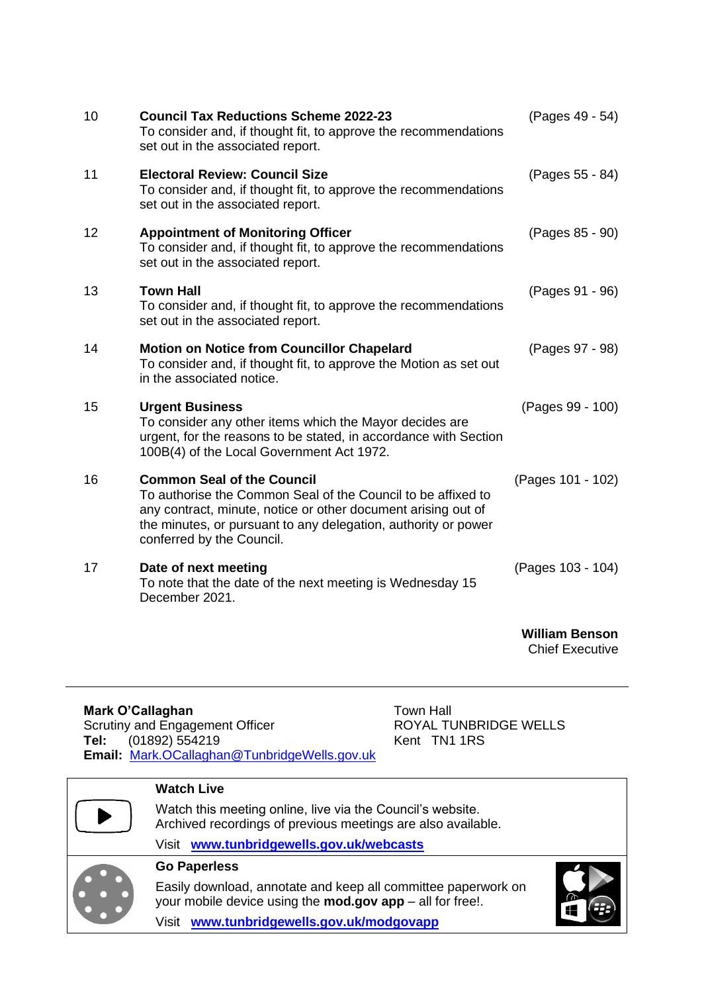| 10 | <b>Council Tax Reductions Scheme 2022-23</b><br>To consider and, if thought fit, to approve the recommendations<br>set out in the associated report.                                                                                                              | (Pages 49 - 54)       |
|----|-------------------------------------------------------------------------------------------------------------------------------------------------------------------------------------------------------------------------------------------------------------------|-----------------------|
| 11 | <b>Electoral Review: Council Size</b><br>To consider and, if thought fit, to approve the recommendations<br>set out in the associated report.                                                                                                                     | (Pages 55 - 84)       |
| 12 | <b>Appointment of Monitoring Officer</b><br>To consider and, if thought fit, to approve the recommendations<br>set out in the associated report.                                                                                                                  | (Pages 85 - 90)       |
| 13 | <b>Town Hall</b><br>To consider and, if thought fit, to approve the recommendations<br>set out in the associated report.                                                                                                                                          | (Pages 91 - 96)       |
| 14 | <b>Motion on Notice from Councillor Chapelard</b><br>To consider and, if thought fit, to approve the Motion as set out<br>in the associated notice.                                                                                                               | (Pages 97 - 98)       |
| 15 | <b>Urgent Business</b><br>To consider any other items which the Mayor decides are<br>urgent, for the reasons to be stated, in accordance with Section<br>100B(4) of the Local Government Act 1972.                                                                | (Pages 99 - 100)      |
| 16 | <b>Common Seal of the Council</b><br>To authorise the Common Seal of the Council to be affixed to<br>any contract, minute, notice or other document arising out of<br>the minutes, or pursuant to any delegation, authority or power<br>conferred by the Council. | (Pages 101 - 102)     |
| 17 | Date of next meeting<br>To note that the date of the next meeting is Wednesday 15<br>December 2021.                                                                                                                                                               | (Pages 103 - 104)     |
|    |                                                                                                                                                                                                                                                                   | <b>William Benson</b> |

Chief Executive

## **Mark O'Callaghan** Town Hall

Scrutiny and Engagement Officer **ROYAL TUNBRIDGE WELLS Tel:** (01892) 554219 Kent TN1 1RS **Email:** [Mark.OCallaghan@TunbridgeWells.gov.uk](mailto:Mark.OCallaghan@TunbridgeWells.gov.uk)